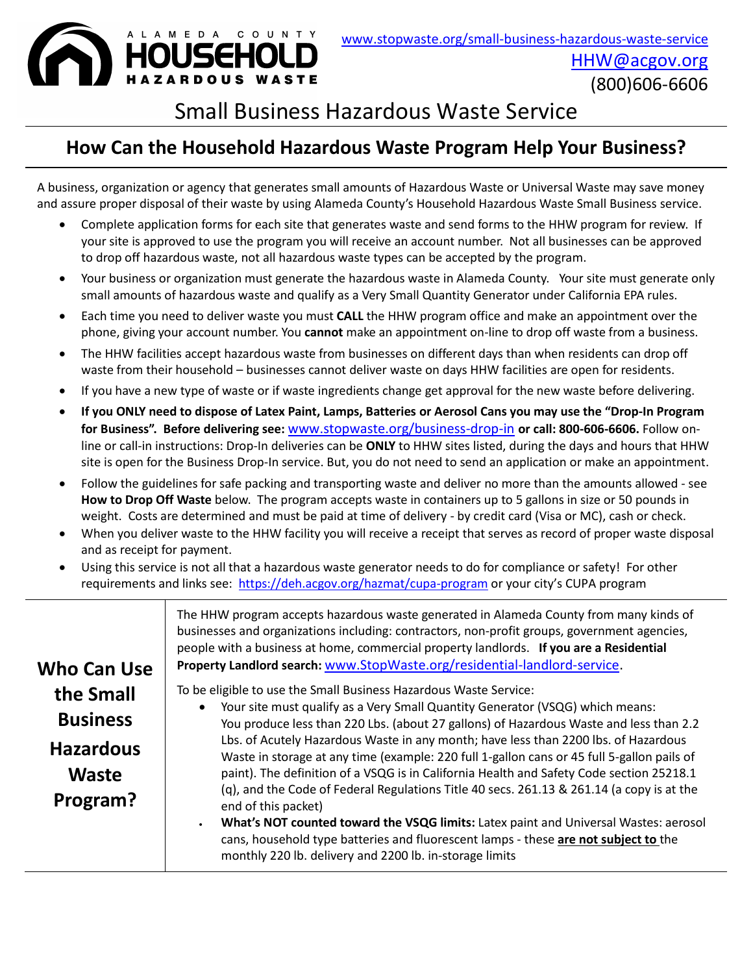

# Small Business Hazardous Waste Service

# **How Can the Household Hazardous Waste Program Help Your Business?**

A business, organization or agency that generates small amounts of Hazardous Waste or Universal Waste may save money and assure proper disposal of their waste by using Alameda County's Household Hazardous Waste Small Business service.

- Complete application forms for each site that generates waste and send forms to the HHW program for review. If your site is approved to use the program you will receive an account number. Not all businesses can be approved to drop off hazardous waste, not all hazardous waste types can be accepted by the program.
- Your business or organization must generate the hazardous waste in Alameda County. Your site must generate only small amounts of hazardous waste and qualify as a Very Small Quantity Generator under California EPA rules.
- Each time you need to deliver waste you must **CALL** the HHW program office and make an appointment over the phone, giving your account number. You **cannot** make an appointment on-line to drop off waste from a business.
- The HHW facilities accept hazardous waste from businesses on different days than when residents can drop off waste from their household – businesses cannot deliver waste on days HHW facilities are open for residents.
- If you have a new type of waste or if waste ingredients change get approval for the new waste before delivering.
- **If you ONLY need to dispose of Latex Paint, Lamps, Batteries or Aerosol Cans you may use the "Drop-In Program for Business". Before delivering see:** [www.stopwaste.org/business-drop-in](http://www.stopwaste.org/business-drop-in) **or call: 800-606-6606.** Follow online or call-in instructions: Drop-In deliveries can be **ONLY** to HHW sites listed, during the days and hours that HHW site is open for the Business Drop-In service. But, you do not need to send an application or make an appointment.
- Follow the guidelines for safe packing and transporting waste and deliver no more than the amounts allowed see **How to Drop Off Waste** below. The program accepts waste in containers up to 5 gallons in size or 50 pounds in weight. Costs are determined and must be paid at time of delivery - by credit card (Visa or MC), cash or check.
- When you deliver waste to the HHW facility you will receive a receipt that serves as record of proper waste disposal and as receipt for payment.
- Using this service is not all that a hazardous waste generator needs to do for compliance or safety! For other requirements and links see: <https://deh.acgov.org/hazmat/cupa-program> or your city's CUPA program

|                    | The HHW program accepts hazardous waste generated in Alameda County from many kinds of<br>businesses and organizations including: contractors, non-profit groups, government agencies,<br>people with a business at home, commercial property landlords. If you are a Residential |  |  |  |  |
|--------------------|-----------------------------------------------------------------------------------------------------------------------------------------------------------------------------------------------------------------------------------------------------------------------------------|--|--|--|--|
| <b>Who Can Use</b> | Property Landlord search: www.StopWaste.org/residential-landlord-service.                                                                                                                                                                                                         |  |  |  |  |
| the Small          | To be eligible to use the Small Business Hazardous Waste Service:                                                                                                                                                                                                                 |  |  |  |  |
|                    | Your site must qualify as a Very Small Quantity Generator (VSQG) which means:<br>$\bullet$                                                                                                                                                                                        |  |  |  |  |
| <b>Business</b>    | You produce less than 220 Lbs. (about 27 gallons) of Hazardous Waste and less than 2.2                                                                                                                                                                                            |  |  |  |  |
| <b>Hazardous</b>   | Lbs. of Acutely Hazardous Waste in any month; have less than 2200 lbs. of Hazardous                                                                                                                                                                                               |  |  |  |  |
|                    | Waste in storage at any time (example: 220 full 1-gallon cans or 45 full 5-gallon pails of                                                                                                                                                                                        |  |  |  |  |
| <b>Waste</b>       | paint). The definition of a VSQG is in California Health and Safety Code section 25218.1                                                                                                                                                                                          |  |  |  |  |
| Program?           | (q), and the Code of Federal Regulations Title 40 secs. 261.13 & 261.14 (a copy is at the<br>end of this packet)                                                                                                                                                                  |  |  |  |  |
|                    | What's NOT counted toward the VSQG limits: Latex paint and Universal Wastes: aerosol<br>$\bullet$<br>cans, household type batteries and fluorescent lamps - these are not subject to the<br>monthly 220 lb. delivery and 2200 lb. in-storage limits                               |  |  |  |  |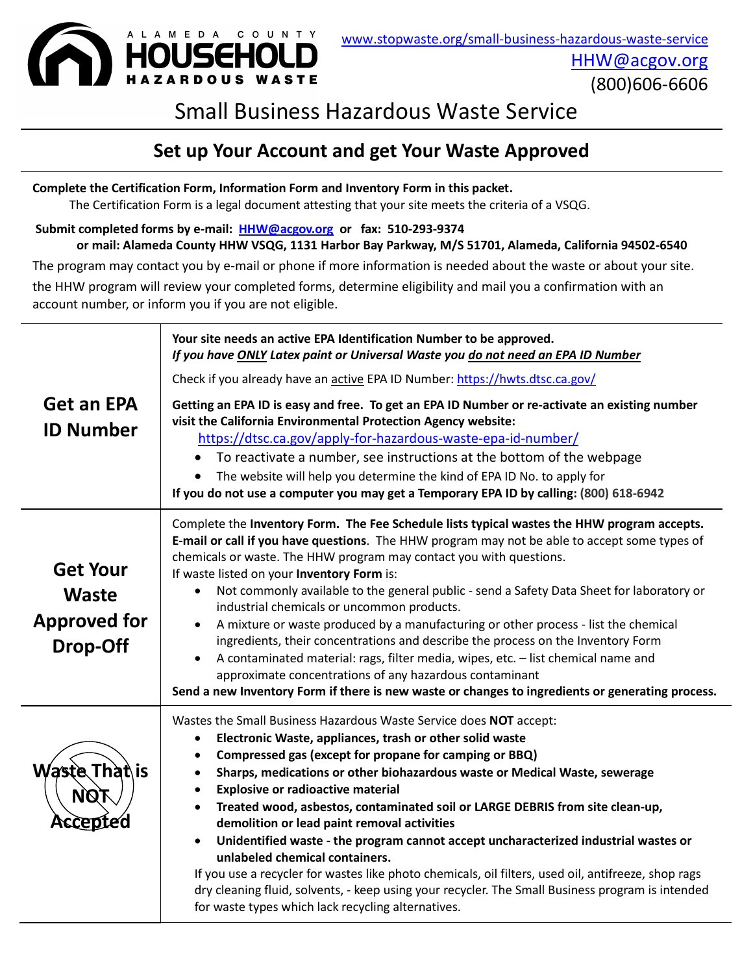

(800)606-6606

# Small Business Hazardous Waste Service

## **Set up Your Account and get Your Waste Approved**

**Complete the Certification Form, Information Form and Inventory Form in this packet.** The Certification Form is a legal document attesting that your site meets the criteria of a VSQG.

**Submit completed forms by e-mail: [HHW@acgov.org](mailto:HHW@acgov.org) or fax: 510-293-9374 or mail: Alameda County HHW VSQG, 1131 Harbor Bay Parkway, M/S 51701, Alameda, California 94502-6540**

The program may contact you by e-mail or phone if more information is needed about the waste or about your site.

the HHW program will review your completed forms, determine eligibility and mail you a confirmation with an account number, or inform you if you are not eligible.

| <b>Get an EPA</b><br><b>ID Number</b>                              | Your site needs an active EPA Identification Number to be approved.<br>If you have ONLY Latex paint or Universal Waste you do not need an EPA ID Number<br>Check if you already have an active EPA ID Number: https://hwts.dtsc.ca.gov/<br>Getting an EPA ID is easy and free. To get an EPA ID Number or re-activate an existing number<br>visit the California Environmental Protection Agency website:<br>https://dtsc.ca.gov/apply-for-hazardous-waste-epa-id-number/<br>To reactivate a number, see instructions at the bottom of the webpage<br>The website will help you determine the kind of EPA ID No. to apply for<br>If you do not use a computer you may get a Temporary EPA ID by calling: (800) 618-6942                                                                                                                                                                     |
|--------------------------------------------------------------------|---------------------------------------------------------------------------------------------------------------------------------------------------------------------------------------------------------------------------------------------------------------------------------------------------------------------------------------------------------------------------------------------------------------------------------------------------------------------------------------------------------------------------------------------------------------------------------------------------------------------------------------------------------------------------------------------------------------------------------------------------------------------------------------------------------------------------------------------------------------------------------------------|
| <b>Get Your</b><br><b>Waste</b><br><b>Approved for</b><br>Drop-Off | Complete the Inventory Form. The Fee Schedule lists typical wastes the HHW program accepts.<br>E-mail or call if you have questions. The HHW program may not be able to accept some types of<br>chemicals or waste. The HHW program may contact you with questions.<br>If waste listed on your Inventory Form is:<br>Not commonly available to the general public - send a Safety Data Sheet for laboratory or<br>industrial chemicals or uncommon products.<br>A mixture or waste produced by a manufacturing or other process - list the chemical<br>ingredients, their concentrations and describe the process on the Inventory Form<br>A contaminated material: rags, filter media, wipes, etc. - list chemical name and<br>approximate concentrations of any hazardous contaminant<br>Send a new Inventory Form if there is new waste or changes to ingredients or generating process. |
| Waste That\is<br>NQ.                                               | Wastes the Small Business Hazardous Waste Service does NOT accept:<br>Electronic Waste, appliances, trash or other solid waste<br>$\bullet$<br>Compressed gas (except for propane for camping or BBQ)<br>Sharps, medications or other biohazardous waste or Medical Waste, sewerage<br>$\bullet$<br><b>Explosive or radioactive material</b><br>Treated wood, asbestos, contaminated soil or LARGE DEBRIS from site clean-up,<br>demolition or lead paint removal activities<br>Unidentified waste - the program cannot accept uncharacterized industrial wastes or<br>unlabeled chemical containers.<br>If you use a recycler for wastes like photo chemicals, oil filters, used oil, antifreeze, shop rags<br>dry cleaning fluid, solvents, - keep using your recycler. The Small Business program is intended<br>for waste types which lack recycling alternatives.                      |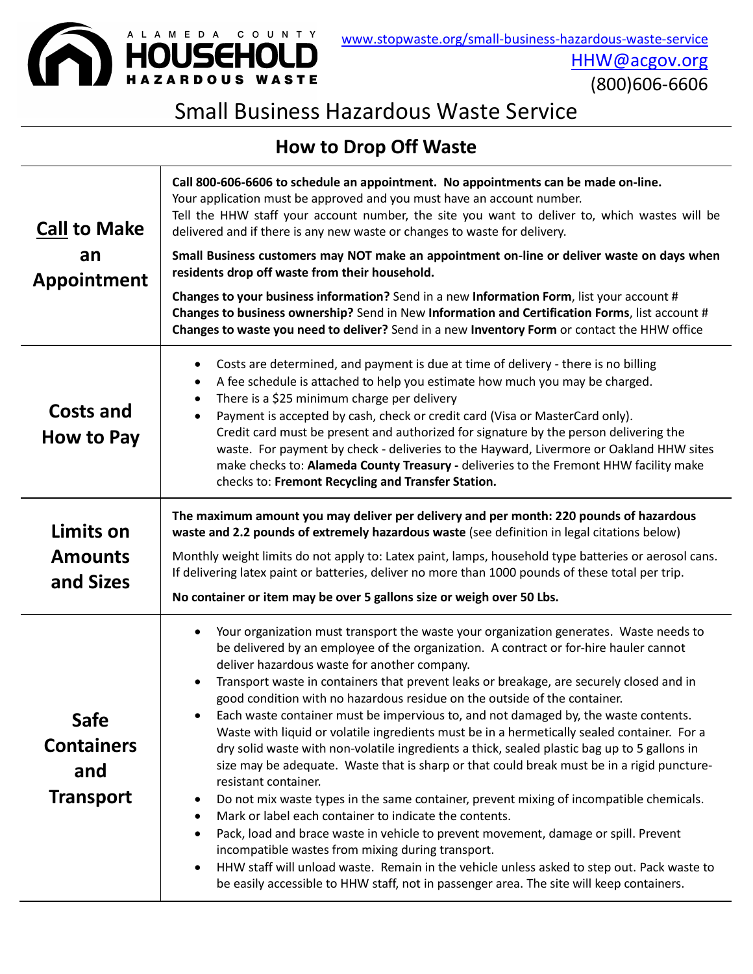

[HHW@acgov.org](mailto:HHW@acgov.org) (800)606-6606

# Small Business Hazardous Waste Service

# **How to Drop Off Waste**

| <b>Call to Make</b><br>an<br><b>Appointment</b>             | Call 800-606-6606 to schedule an appointment. No appointments can be made on-line.<br>Your application must be approved and you must have an account number.<br>Tell the HHW staff your account number, the site you want to deliver to, which wastes will be<br>delivered and if there is any new waste or changes to waste for delivery.<br>Small Business customers may NOT make an appointment on-line or deliver waste on days when<br>residents drop off waste from their household.<br>Changes to your business information? Send in a new Information Form, list your account #<br>Changes to business ownership? Send in New Information and Certification Forms, list account #<br>Changes to waste you need to deliver? Send in a new Inventory Form or contact the HHW office                                                                                                                                                                                                                                                                                                                                                                                                                                                                                                                                                        |
|-------------------------------------------------------------|--------------------------------------------------------------------------------------------------------------------------------------------------------------------------------------------------------------------------------------------------------------------------------------------------------------------------------------------------------------------------------------------------------------------------------------------------------------------------------------------------------------------------------------------------------------------------------------------------------------------------------------------------------------------------------------------------------------------------------------------------------------------------------------------------------------------------------------------------------------------------------------------------------------------------------------------------------------------------------------------------------------------------------------------------------------------------------------------------------------------------------------------------------------------------------------------------------------------------------------------------------------------------------------------------------------------------------------------------|
| <b>Costs and</b><br>How to Pay                              | Costs are determined, and payment is due at time of delivery - there is no billing<br>٠<br>A fee schedule is attached to help you estimate how much you may be charged.<br>٠<br>There is a \$25 minimum charge per delivery<br>٠<br>Payment is accepted by cash, check or credit card (Visa or MasterCard only).<br>$\bullet$<br>Credit card must be present and authorized for signature by the person delivering the<br>waste. For payment by check - deliveries to the Hayward, Livermore or Oakland HHW sites<br>make checks to: Alameda County Treasury - deliveries to the Fremont HHW facility make<br>checks to: Fremont Recycling and Transfer Station.                                                                                                                                                                                                                                                                                                                                                                                                                                                                                                                                                                                                                                                                                 |
| Limits on<br><b>Amounts</b><br>and Sizes                    | The maximum amount you may deliver per delivery and per month: 220 pounds of hazardous<br>waste and 2.2 pounds of extremely hazardous waste (see definition in legal citations below)<br>Monthly weight limits do not apply to: Latex paint, lamps, household type batteries or aerosol cans.<br>If delivering latex paint or batteries, deliver no more than 1000 pounds of these total per trip.<br>No container or item may be over 5 gallons size or weigh over 50 Lbs.                                                                                                                                                                                                                                                                                                                                                                                                                                                                                                                                                                                                                                                                                                                                                                                                                                                                      |
| <b>Safe</b><br><b>Containers</b><br>and<br><b>Transport</b> | Your organization must transport the waste your organization generates. Waste needs to<br>٠<br>be delivered by an employee of the organization. A contract or for-hire hauler cannot<br>deliver hazardous waste for another company.<br>Transport waste in containers that prevent leaks or breakage, are securely closed and in<br>$\bullet$<br>good condition with no hazardous residue on the outside of the container.<br>Each waste container must be impervious to, and not damaged by, the waste contents.<br>Waste with liquid or volatile ingredients must be in a hermetically sealed container. For a<br>dry solid waste with non-volatile ingredients a thick, sealed plastic bag up to 5 gallons in<br>size may be adequate. Waste that is sharp or that could break must be in a rigid puncture-<br>resistant container.<br>Do not mix waste types in the same container, prevent mixing of incompatible chemicals.<br>٠<br>Mark or label each container to indicate the contents.<br>٠<br>Pack, load and brace waste in vehicle to prevent movement, damage or spill. Prevent<br>incompatible wastes from mixing during transport.<br>HHW staff will unload waste. Remain in the vehicle unless asked to step out. Pack waste to<br>٠<br>be easily accessible to HHW staff, not in passenger area. The site will keep containers. |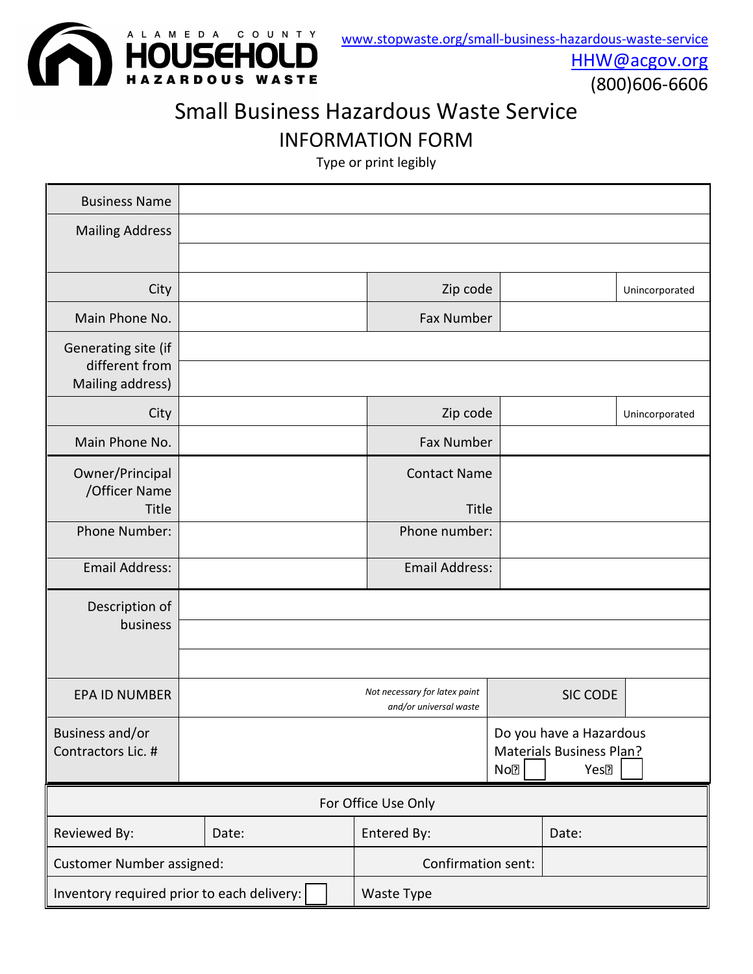

[HHW@acgov.org](mailto:HHW@acgov.org)

(800)606-6606

# Small Business Hazardous Waste Service

INFORMATION FORM

Type or print legibly

| <b>Business Name</b>                                      |                     |  |                                                         |                 |                                                                         |                |
|-----------------------------------------------------------|---------------------|--|---------------------------------------------------------|-----------------|-------------------------------------------------------------------------|----------------|
| <b>Mailing Address</b>                                    |                     |  |                                                         |                 |                                                                         |                |
|                                                           |                     |  |                                                         |                 |                                                                         |                |
| City                                                      |                     |  | Zip code                                                |                 |                                                                         | Unincorporated |
| Main Phone No.                                            |                     |  | <b>Fax Number</b>                                       |                 |                                                                         |                |
| Generating site (if<br>different from<br>Mailing address) |                     |  |                                                         |                 |                                                                         |                |
| City                                                      |                     |  | Zip code                                                |                 |                                                                         | Unincorporated |
| Main Phone No.                                            |                     |  | <b>Fax Number</b>                                       |                 |                                                                         |                |
| Owner/Principal<br>/Officer Name<br>Title                 |                     |  | <b>Contact Name</b><br>Title                            |                 |                                                                         |                |
| Phone Number:                                             |                     |  | Phone number:                                           |                 |                                                                         |                |
| <b>Email Address:</b>                                     |                     |  | <b>Email Address:</b>                                   |                 |                                                                         |                |
| Description of                                            |                     |  |                                                         |                 |                                                                         |                |
| business                                                  |                     |  |                                                         |                 |                                                                         |                |
|                                                           |                     |  |                                                         |                 |                                                                         |                |
| <b>EPA ID NUMBER</b>                                      |                     |  | Not necessary for latex paint<br>and/or universal waste |                 | <b>SIC CODE</b>                                                         |                |
| Business and/or<br>Contractors Lic. #                     |                     |  |                                                         | No <sub>2</sub> | Do you have a Hazardous<br>Materials Business Plan?<br>Yes <sup>?</sup> |                |
|                                                           | For Office Use Only |  |                                                         |                 |                                                                         |                |
| Reviewed By:                                              | Date:               |  | Entered By:                                             |                 | Date:                                                                   |                |
| <b>Customer Number assigned:</b>                          |                     |  | Confirmation sent:                                      |                 |                                                                         |                |
| Inventory required prior to each delivery:                |                     |  | Waste Type                                              |                 |                                                                         |                |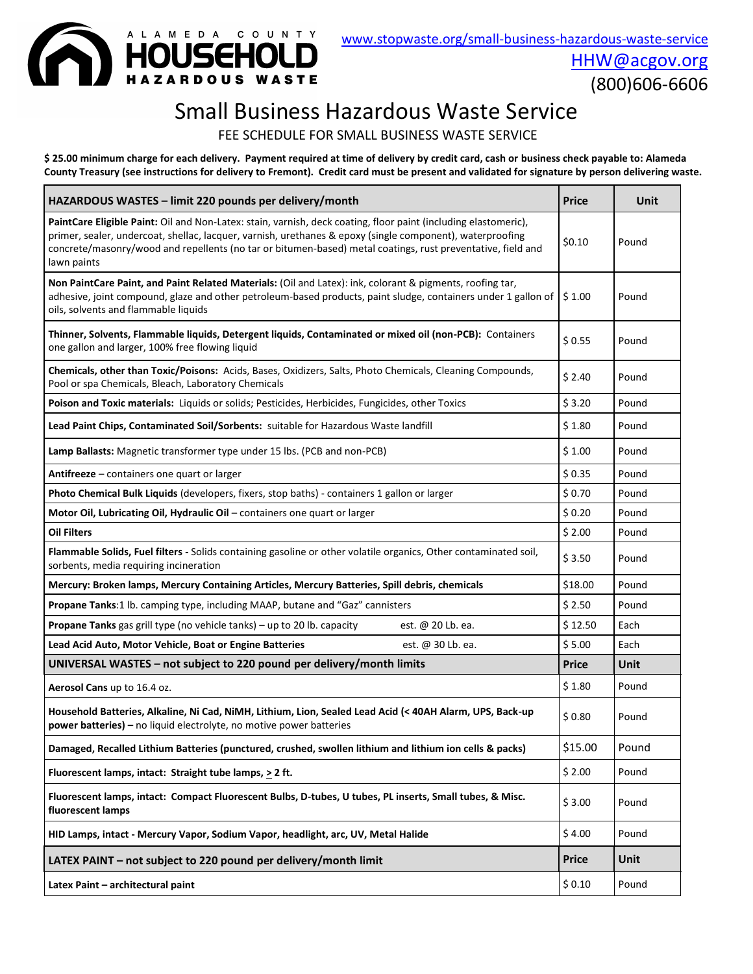

[HHW@acgov.org](mailto:HHW@acgov.org) (800)606-6606

# Small Business Hazardous Waste Service

FEE SCHEDULE FOR SMALL BUSINESS WASTE SERVICE

**\$ 25.00 minimum charge for each delivery. Payment required at time of delivery by credit card, cash or business check payable to: Alameda County Treasury (see instructions for delivery to Fremont). Credit card must be present and validated for signature by person delivering waste.**

| HAZARDOUS WASTES - limit 220 pounds per delivery/month                                                                                                                                                                                                                                                                                                     | Price        | Unit        |
|------------------------------------------------------------------------------------------------------------------------------------------------------------------------------------------------------------------------------------------------------------------------------------------------------------------------------------------------------------|--------------|-------------|
| PaintCare Eligible Paint: Oil and Non-Latex: stain, varnish, deck coating, floor paint (including elastomeric),<br>primer, sealer, undercoat, shellac, lacquer, varnish, urethanes & epoxy (single component), waterproofing<br>concrete/masonry/wood and repellents (no tar or bitumen-based) metal coatings, rust preventative, field and<br>lawn paints | \$0.10       | Pound       |
| Non PaintCare Paint, and Paint Related Materials: (Oil and Latex): ink, colorant & pigments, roofing tar,<br>adhesive, joint compound, glaze and other petroleum-based products, paint sludge, containers under 1 gallon of<br>oils, solvents and flammable liquids                                                                                        | \$1.00       | Pound       |
| Thinner, Solvents, Flammable liquids, Detergent liquids, Contaminated or mixed oil (non-PCB): Containers<br>one gallon and larger, 100% free flowing liquid                                                                                                                                                                                                | \$0.55       | Pound       |
| Chemicals, other than Toxic/Poisons: Acids, Bases, Oxidizers, Salts, Photo Chemicals, Cleaning Compounds,<br>Pool or spa Chemicals, Bleach, Laboratory Chemicals                                                                                                                                                                                           | \$2.40       | Pound       |
| Poison and Toxic materials: Liquids or solids; Pesticides, Herbicides, Fungicides, other Toxics                                                                                                                                                                                                                                                            | \$3.20       | Pound       |
| Lead Paint Chips, Contaminated Soil/Sorbents: suitable for Hazardous Waste landfill                                                                                                                                                                                                                                                                        | \$1.80       | Pound       |
| Lamp Ballasts: Magnetic transformer type under 15 lbs. (PCB and non-PCB)                                                                                                                                                                                                                                                                                   | \$1.00       | Pound       |
| Antifreeze - containers one quart or larger                                                                                                                                                                                                                                                                                                                | \$0.35       | Pound       |
| Photo Chemical Bulk Liquids (developers, fixers, stop baths) - containers 1 gallon or larger                                                                                                                                                                                                                                                               | \$0.70       | Pound       |
| Motor Oil, Lubricating Oil, Hydraulic Oil - containers one quart or larger                                                                                                                                                                                                                                                                                 | \$0.20       | Pound       |
| <b>Oil Filters</b>                                                                                                                                                                                                                                                                                                                                         | \$2.00       | Pound       |
| Flammable Solids, Fuel filters - Solids containing gasoline or other volatile organics, Other contaminated soil,<br>sorbents, media requiring incineration                                                                                                                                                                                                 | \$3.50       | Pound       |
| Mercury: Broken lamps, Mercury Containing Articles, Mercury Batteries, Spill debris, chemicals                                                                                                                                                                                                                                                             | \$18.00      | Pound       |
| Propane Tanks:1 lb. camping type, including MAAP, butane and "Gaz" cannisters                                                                                                                                                                                                                                                                              | \$2.50       | Pound       |
| Propane Tanks gas grill type (no vehicle tanks) - up to 20 lb. capacity<br>est. @ 20 Lb. ea.                                                                                                                                                                                                                                                               | \$12.50      | Each        |
| Lead Acid Auto, Motor Vehicle, Boat or Engine Batteries<br>est. @ 30 Lb. ea.                                                                                                                                                                                                                                                                               | \$5.00       | Each        |
| UNIVERSAL WASTES - not subject to 220 pound per delivery/month limits                                                                                                                                                                                                                                                                                      | <b>Price</b> | <b>Unit</b> |
| Aerosol Cans up to 16.4 oz.                                                                                                                                                                                                                                                                                                                                | \$1.80       | Pound       |
| Household Batteries, Alkaline, Ni Cad, NiMH, Lithium, Lion, Sealed Lead Acid (< 40AH Alarm, UPS, Back-up<br>power batteries) - no liquid electrolyte, no motive power batteries                                                                                                                                                                            | \$0.80       | Pound       |
| Damaged, Recalled Lithium Batteries (punctured, crushed, swollen lithium and lithium ion cells & packs)                                                                                                                                                                                                                                                    | \$15.00      | Pound       |
| Fluorescent lamps, intact: Straight tube lamps, $\geq 2$ ft.                                                                                                                                                                                                                                                                                               | \$2.00       | Pound       |
| Fluorescent lamps, intact: Compact Fluorescent Bulbs, D-tubes, U tubes, PL inserts, Small tubes, & Misc.<br>fluorescent lamps                                                                                                                                                                                                                              | \$3.00       | Pound       |
| HID Lamps, intact - Mercury Vapor, Sodium Vapor, headlight, arc, UV, Metal Halide                                                                                                                                                                                                                                                                          | \$4.00       | Pound       |
| LATEX PAINT - not subject to 220 pound per delivery/month limit                                                                                                                                                                                                                                                                                            | <b>Price</b> | <b>Unit</b> |
| Latex Paint - architectural paint                                                                                                                                                                                                                                                                                                                          | \$0.10       | Pound       |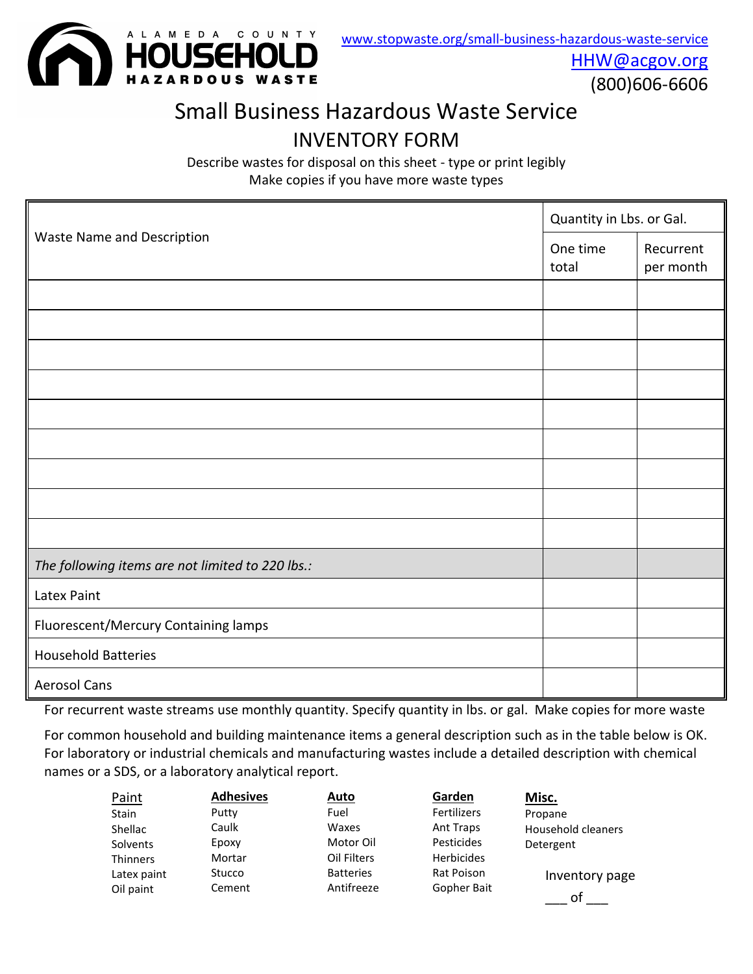

[HHW@acgov.org](mailto:HHW@acgov.org)

(800)606-6606

# Small Business Hazardous Waste Service INVENTORY FORM

Describe wastes for disposal on this sheet - type or print legibly Make copies if you have more waste types

|                                                  | Quantity in Lbs. or Gal. |                        |  |
|--------------------------------------------------|--------------------------|------------------------|--|
| <b>Waste Name and Description</b>                | One time<br>total        | Recurrent<br>per month |  |
|                                                  |                          |                        |  |
|                                                  |                          |                        |  |
|                                                  |                          |                        |  |
|                                                  |                          |                        |  |
|                                                  |                          |                        |  |
|                                                  |                          |                        |  |
|                                                  |                          |                        |  |
|                                                  |                          |                        |  |
|                                                  |                          |                        |  |
| The following items are not limited to 220 lbs.: |                          |                        |  |
| Latex Paint                                      |                          |                        |  |
| Fluorescent/Mercury Containing lamps             |                          |                        |  |
| <b>Household Batteries</b>                       |                          |                        |  |
| <b>Aerosol Cans</b>                              |                          |                        |  |

For recurrent waste streams use monthly quantity. Specify quantity in lbs. or gal. Make copies for more waste

For common household and building maintenance items a general description such as in the table below is OK. For laboratory or industrial chemicals and manufacturing wastes include a detailed description with chemical names or a SDS, or a laboratory analytical report.

| Paint           | <b>Adhesives</b> | <b>Auto</b>      | Garden             | Misc.              |
|-----------------|------------------|------------------|--------------------|--------------------|
| <b>Stain</b>    | Putty            | Fuel             | <b>Fertilizers</b> | Propane            |
| Shellac         | Caulk            | Waxes            | Ant Traps          | Household cleaners |
| Solvents        | Epoxy            | Motor Oil        | Pesticides         | Detergent          |
| <b>Thinners</b> | Mortar           | Oil Filters      | <b>Herbicides</b>  |                    |
| Latex paint     | Stucco           | <b>Batteries</b> | Rat Poison         | Inventory page     |
| Oil paint       | Cement           | Antifreeze       | Gopher Bait        | οt                 |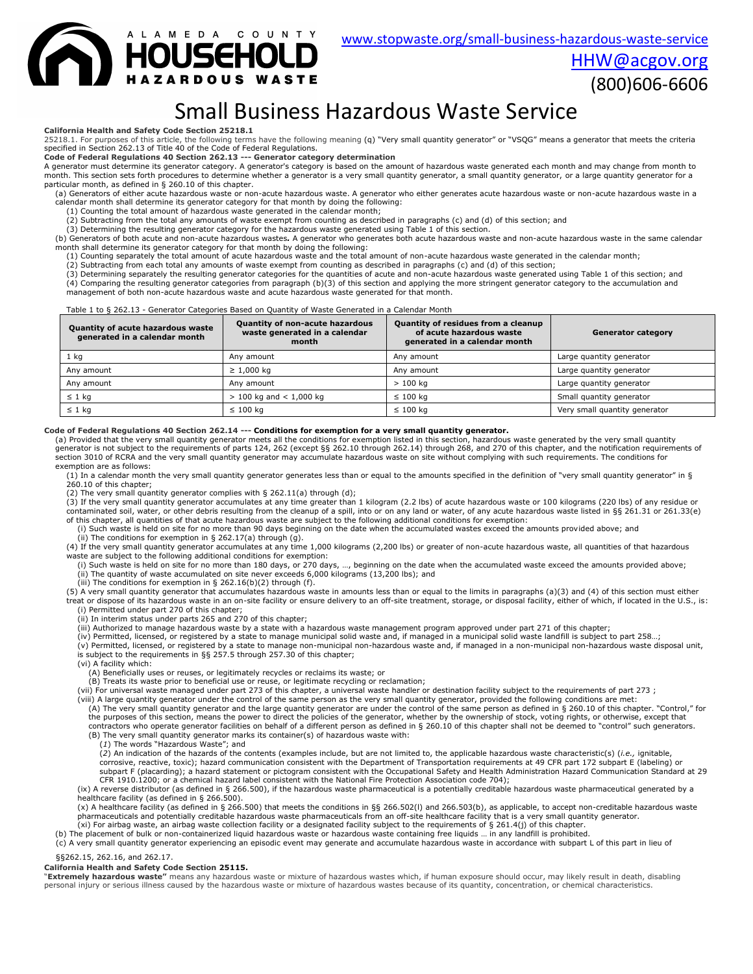[www.stopwaste.org/small-business-hazardous-waste-service](http://www.stopwaste.org/small-business-hazardous-waste-service)

[HHW@acgov.org](mailto:HHW@acgov.org)



(800)606-6606

# Small Business Hazardous Waste Service

#### **California Health and Safety Code Section 25218.1**

25218.1. For purposes of this article, the following terms have the following meaning (q) "Very small quantity generator" or "VSQG" means a generator that meets the criteria specified in Section 262.13 of Title 40 of the Code of Federal Regulations.

**Code of Federal Regulations 40 Section 262.13 --- Generator category determination**

A generator must determine its generator category. A generator's category is based on the amount of hazardous waste generated each month and may change from month to<br>month. This section sets forth procedures to determine w particular month, as defined in § 260.10 of this chapter.

(a) Generators of either acute hazardous waste or non-acute hazardous waste. A generator who either generates acute hazardous waste or non-acute hazardous waste in a<br>calendar month shall determine its generator category fo

(2) Subtracting from the total any amounts of waste exempt from counting as described in paragraphs (c) and (d) of this section; and

3) Determining the resulting generator category for the hazardous waste generated using Table 1 of this section.<br>(b) Generators of both acute and non-acute hazardous wastes. A generator who generates both acute hazardous w

month shall determine its generator category for that month by doing the following:

(1) Counting separately the total amount of acute hazardous waste and the total amount of non-acute hazardous waste generated in the calendar month;

(2) Subtracting from each total any amounts of waste exempt from counting as described in paragraphs (c) and (d) of this section;<br>(3) Determining separately the resulting generator categories for the quantities of acute an

(4) Comparing the resulting generator categories from paragraph (b)(3) of this section and applying the more stringent generator category to the accumulation and management of both non-acute hazardous waste and acute hazardous waste generated for that month.

#### Table 1 to § 262.13 - Generator Categories Based on Quantity of Waste Generated in a Calendar Month

| <b>Quantity of acute hazardous waste</b><br>generated in a calendar month | Quantity of residues from a cleanup<br><b>Quantity of non-acute hazardous</b><br>waste generated in a calendar<br>of acute hazardous waste<br>generated in a calendar month<br>month |               | <b>Generator category</b>     |
|---------------------------------------------------------------------------|--------------------------------------------------------------------------------------------------------------------------------------------------------------------------------------|---------------|-------------------------------|
| 1 kg                                                                      | Any amount                                                                                                                                                                           | Any amount    | Large quantity generator      |
| Any amount                                                                | $\geq 1,000$ kg                                                                                                                                                                      | Any amount    | Large quantity generator      |
| Any amount                                                                | Any amount                                                                                                                                                                           | $>100$ kg     | Large quantity generator      |
| $\leq 1$ kg                                                               | $> 100$ kg and $< 1,000$ kg                                                                                                                                                          | $\leq 100$ kg | Small quantity generator      |
| $\leq 1$ kg                                                               | $\leq 100$ kg                                                                                                                                                                        | $\leq 100$ kg | Very small quantity generator |

Code of Federal Regulations 40 Section 262.14 --- Conditions for exemption for a very small quantity generator.<br>(a) Provided that the very small quantity generator meets all the conditions for exemption listed in this sect generator is not subject to the requirements of parts 124, 262 (except §§ 262.10 through 262.14) through 268, and 270 of this chapter, and the notification requirements of section 3010 of RCRA and the very small quantity generator may accumulate hazardous waste on site without complying with such requirements. The conditions for exemption are as follows:

(1) In a calendar month the very small quantity generator generates less than or equal to the amounts specified in the definition of "very small quantity generator" in § 260.10 of this chapter;

(2) The very small quantity generator complies with § 262.11(a) through (d);

(3) If the very small quantity generator accumulates at any time greater than 1 kilogram (2.2 lbs) of acute hazardous waste or 100 kilograms (220 lbs) of any residue or contaminated soil, water, or other debris resulting from the cleanup of a spill, into or on any land or water, of any acute hazardous waste listed in §§ 261.31 or 261.33(e) of this chapter, all quantities of that acute hazardous waste are subject to the following additional conditions for exemption:

(i) Such waste is held on site for no more than 90 days beginning on the date when the accumulated wastes exceed the amounts provided above; and (ii) The conditions for exemption in § 262.17(a) through (g).

(4) If the very small quantity generator accumulates at any time 1,000 kilograms (2,200 lbs) or greater of non-acute hazardous waste, all quantities of that hazardous<br>waste are subject to the following additional condition

(i) Such waste is held on site for no more than 180 days, or 270 days, …, beginning on the date when the accumulated waste exceed the amounts provided above; (ii) The quantity of waste accumulated on site never exceeds 6,000 kilograms (13,200 lbs); and

(iii) The conditions for exemption in § 262.16(b)(2) through (f).

(5) A very small quantity generator that accumulates hazardous waste in amounts less than or equal to the limits in paragraphs (a)(3) and (4) of this section must either<br>treat or dispose of its hazardous waste in an on-sit (i) Permitted under part 270 of this chapter;

(ii) In interim status under parts 265 and 270 of this chapter;

(iii) Authorized to manage hazardous waste by a state with a hazardous waste management program approved under part 271 of this chapter;<br>(iv) Permitted, licensed, or registered by a state to manage municipal solid waste an

(v) Permitted, licensed, or registered by a state to manage non-municipal non-hazardous waste and, if managed in a non-municipal non-hazardous waste disposal unit,

is subject to the requirements in §§ 257.5 through 257.30 of this chapter; (vi) A facility which:

(A) Beneficially uses or reuses, or legitimately recycles or reclaims its waste; or

(B) Treats its waste prior to beneficial use or reuse, or legitimate recycling or reclamation;

(vii) For universal waste managed under part 273 of this chapter, a universal waste handler or destination facility subject to the requirements of part 273 ;<br>(viii) A large quantity generator under the control of the same the purposes of this section, means the power to direct the policies of the generator, whether by the ownership of stock, voting rights, or otherwise, except that<br>contractors who operate generator facilities on behalf of a (B) The very small quantity generator marks its container(s) of hazardous waste with:

(*1*) The words "Hazardous Waste"; and

(*2*) An indication of the hazards of the contents (examples include, but are not limited to, the applicable hazardous waste characteristic(s) (*i.e.,* ignitable, corrosive, reactive, toxic); hazard communication consistent with the Department of Transportation requirements at 49 CFR part 172 subpart E (labeling) or subpart F (placarding); a hazard statement or pictogram consistent with the Occupational Safety and Health Administration Hazard Communication Standard at 29 CFR 1910.1200; or a chemical hazard label consistent with the National Fire Protection Association code 704);

(ix) A reverse distributor (as defined in § 266.500), if the hazardous waste pharmaceutical is a potentially creditable hazardous waste pharmaceutical generated by a healthcare facility (as defined in § 266.500).

(x) A healthcare facility (as defined in § 266.500) that meets the conditions in §§ 266.502(I) and 266.503(b), as applicable, to accept non-creditable hazardous waste<br>pharmaceuticals and potentially creditable hazardous wa

.xi) For airbag waste, an airbag waste collection facility or a designated facility subject to the requirements of § 261.4(j) of this chapter.<br>.b) The placement of bulk or non-containerized liquid hazardous waste or hazard

(c) A very small quantity generator experiencing an episodic event may generate and accumulate hazardous waste in accordance with subpart L of this part in lieu of §§262.15, 262.16, and 262.17.

**California Health and Safety Code Section 25115.** 

"**Extremely hazardous waste"** means any hazardous waste or mixture of hazardous wastes which, if human exposure should occur, may likely result in death, disabling personal injury or serious illness caused by the hazardous waste or mixture of hazardous wastes because of its quantity, concentration, or chemical characteristics.